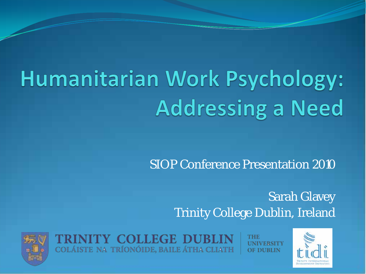# Humanitarian Work Psychology: **Addressing a Need**

SIOP Conference Presentation 2010

Sarah Glavey Trinity College Dublin, Ireland



TRINITY COLLEGE DUBLIN COLÁISTE NA TRÍONÓIDE, BAILE ÁTHA CLIATH

THE OF DUBLIN

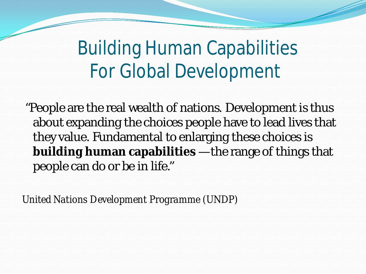Building Human Capabilities For Global Development

"People are the real wealth of nations. Development is thus about expanding the choices people have to lead lives that they value. Fundamental to enlarging these choices is **building human capabilities** —the range of things that people can do or be in life."

*United Nations Development Programme (UNDP)*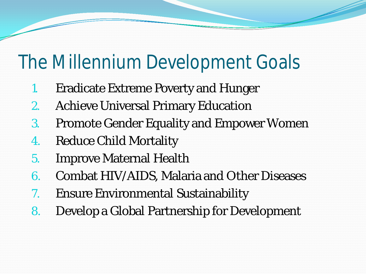#### The Millennium Development Goals

- 1. Eradicate Extreme Poverty and Hunger
- 2. Achieve Universal Primary Education
- 3. Promote Gender Equality and Empower Women
- 4. Reduce Child Mortality
- 5. Improve Maternal Health
- 6. Combat HIV/AIDS, Malaria and Other Diseases
- 7. Ensure Environmental Sustainability
- 8. Develop a Global Partnership for Development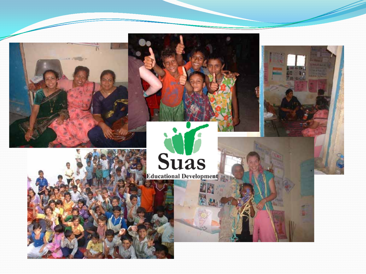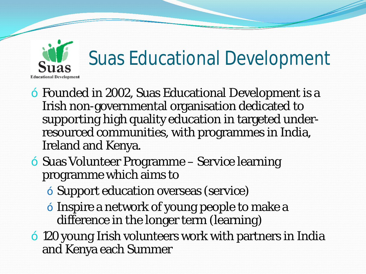

- Founded in 2002, Suas Educational Development is a Irish non-governmental organisation dedicated to supporting high quality education in targeted underresourced communities, with programmes in India, Ireland and Kenya.
- Suas Volunteer Programme Service learning programme which aims to
	- Support education overseas (service)
	- Inspire a network of young people to make a difference in the longer term (learning)
	- 120 young Irish volunteers work with partners in India and Kenya each Summer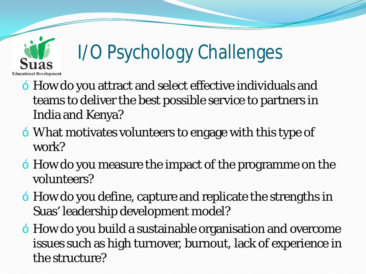

### I/O Psychology Challenges

- How do you attract and select effective individuals and teams to deliver the best possible service to partners in India and Kenya?
- What motivates volunteers to engage with this type of work?
- How do you measure the impact of the programme on the volunteers?
- How do you define, capture and replicate the strengths in Suas' leadership development model?
- How do you build a sustainable organisation and overcome issues such as high turnover, burnout, lack of experience in the structure?
-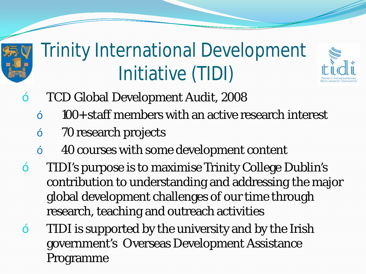

### Trinity International Development Initiative (TIDI)

- TCD Global Development Audit, 2008
	- 100+ staff members with an active research interest
- 70 research projects
- 40 courses with some development content
- TIDI's purpose is to maximise Trinity College Dublin's contribution to understanding and addressing the major global development challenges of our time through research, teaching and outreach activities
- TIDI is supported by the university and by the Irish government's Overseas Development Assistance Programme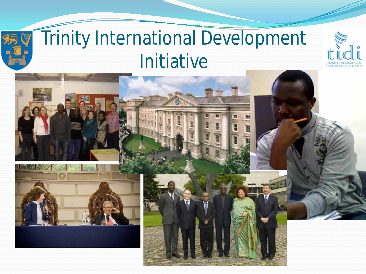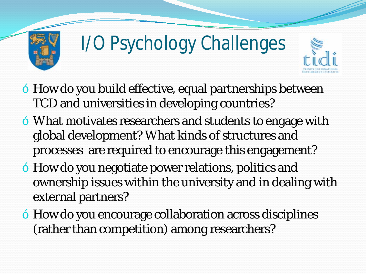

## I/O Psychology Challenges



- How do you build effective, equal partnerships between TCD and universities in developing countries?
- What motivates researchers and students to engage with global development? What kinds of structures and processes are required to encourage this engagement?
- How do you negotiate power relations, politics and ownership issues within the university and in dealing with external partners?
- How do you encourage collaboration across disciplines (rather than competition) among researchers?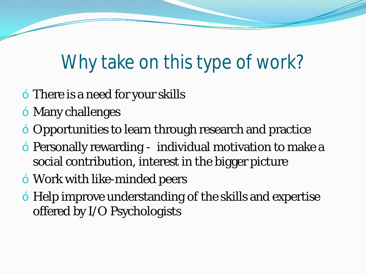### Why take on this type of work?

- There is a need for your skills
- Many challenges
- Opportunities to learn through research and practice
- Personally rewarding individual motivation to make a social contribution, interest in the bigger picture
- Work with like-minded peers
- Help improve understanding of the skills and expertise offered by I/O Psychologists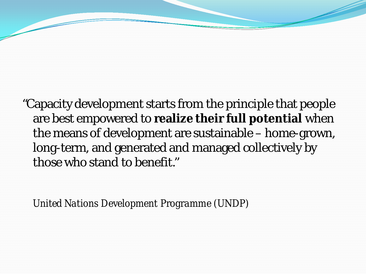"Capacity development starts from the principle that people are best empowered to **realize their full potential** when the means of development are sustainable – home-grown, long-term, and generated and managed collectively by those who stand to benefit."

*United Nations Development Programme (UNDP)*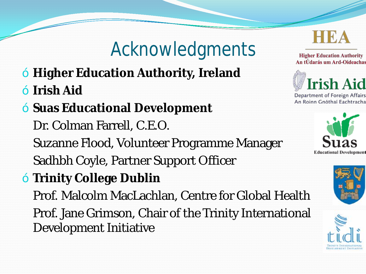### Acknowledgments

- **Higher Education Authority, Ireland**
- **Irish Aid**
- **Suas Educational Development**

Dr. Colman Farrell, C.E.O.

Suzanne Flood, Volunteer Programme Manager

Sadhbh Coyle, Partner Support Officer

— **Trinity College Dublin**

Prof. Malcolm MacLachlan, Centre for Global Health

Prof. Jane Grimson, Chair of the Trinity International Development Initiative





Department of Foreign Affairs An Roinn Gnóthaí Eachtracha





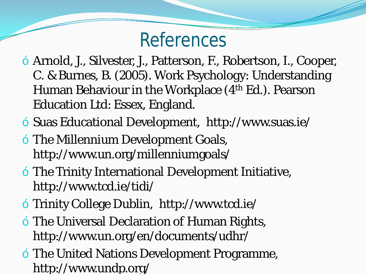#### References

- Arnold, J., Silvester, J., Patterson, F., Robertson, I., Cooper, C. & Burnes, B. (2005). Work Psychology: Understanding Human Behaviour in the Workplace (4<sup>th</sup> Ed.). Pearson Education Ltd: Essex, England.
- Suas Educational Development, http://www.suas.ie/
- The Millennium Development Goals, http://www.un.org/millenniumgoals/
- The Trinity International Development Initiative, http://www.tcd.ie/tidi/
- Trinity College Dublin, http://www.tcd.ie/
- The Universal Declaration of Human Rights, http://www.un.org/en/documents/udhr/
- The United Nations Development Programme, http://www.undp.org/